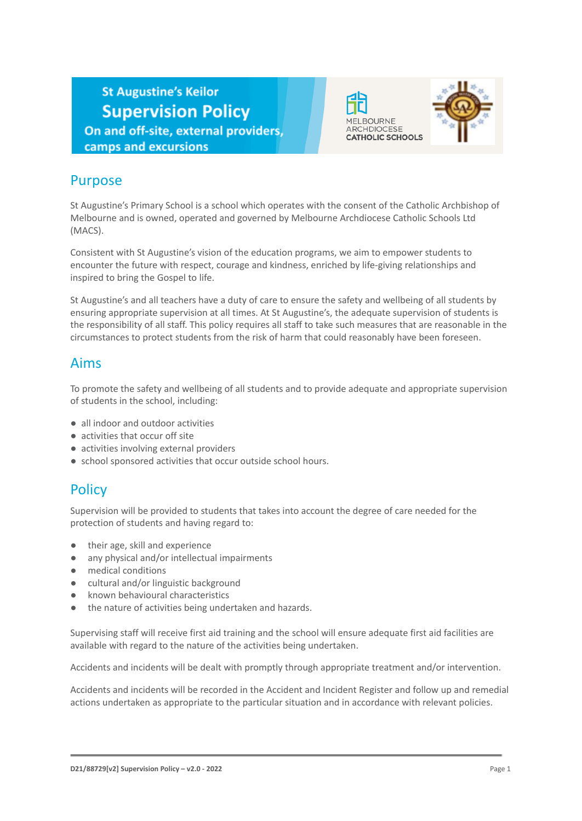**St Augustine's Keilor Supervision Policy** On and off-site, external providers, camps and excursions





#### Purpose

St Augustine's Primary School is a school which operates with the consent of the Catholic Archbishop of Melbourne and is owned, operated and governed by Melbourne Archdiocese Catholic Schools Ltd (MACS).

Consistent with St Augustine's vision of the education programs, we aim to empower students to encounter the future with respect, courage and kindness, enriched by life-giving relationships and inspired to bring the Gospel to life.

St Augustine's and all teachers have a duty of care to ensure the safety and wellbeing of all students by ensuring appropriate supervision at all times. At St Augustine's, the adequate supervision of students is the responsibility of all staff. This policy requires all staff to take such measures that are reasonable in the circumstances to protect students from the risk of harm that could reasonably have been foreseen.

#### Aims

To promote the safety and wellbeing of all students and to provide adequate and appropriate supervision of students in the school, including:

- all indoor and outdoor activities
- activities that occur off site
- activities involving external providers
- school sponsored activities that occur outside school hours.

# **Policy**

Supervision will be provided to students that takes into account the degree of care needed for the protection of students and having regard to:

- their age, skill and experience
- any physical and/or intellectual impairments
- medical conditions
- cultural and/or linguistic background
- known behavioural characteristics
- the nature of activities being undertaken and hazards.

Supervising staff will receive first aid training and the school will ensure adequate first aid facilities are available with regard to the nature of the activities being undertaken.

Accidents and incidents will be dealt with promptly through appropriate treatment and/or intervention.

Accidents and incidents will be recorded in the Accident and Incident Register and follow up and remedial actions undertaken as appropriate to the particular situation and in accordance with relevant policies.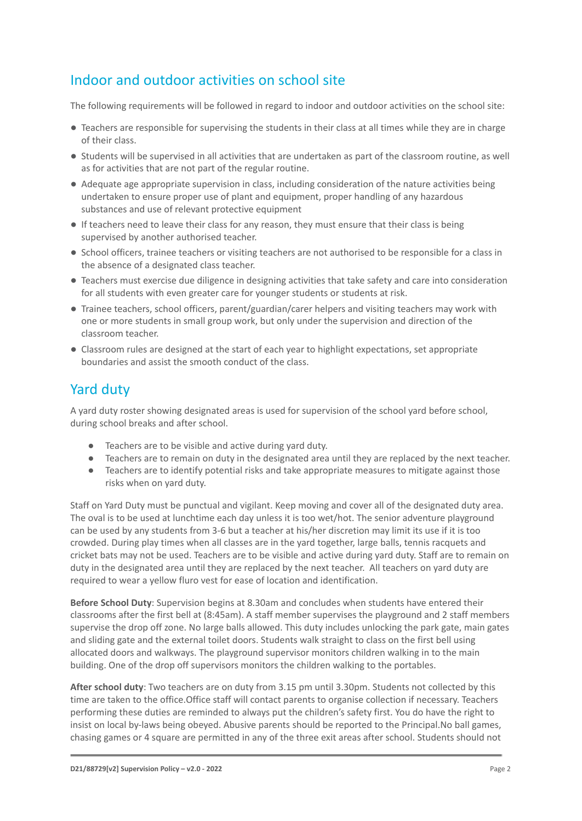## Indoor and outdoor activities on school site

The following requirements will be followed in regard to indoor and outdoor activities on the school site:

- Teachers are responsible for supervising the students in their class at all times while they are in charge of their class.
- Students will be supervised in all activities that are undertaken as part of the classroom routine, as well as for activities that are not part of the regular routine.
- Adequate age appropriate supervision in class, including consideration of the nature activities being undertaken to ensure proper use of plant and equipment, proper handling of any hazardous substances and use of relevant protective equipment
- If teachers need to leave their class for any reason, they must ensure that their class is being supervised by another authorised teacher.
- School officers, trainee teachers or visiting teachers are not authorised to be responsible for a class in the absence of a designated class teacher.
- Teachers must exercise due diligence in designing activities that take safety and care into consideration for all students with even greater care for younger students or students at risk.
- Trainee teachers, school officers, parent/guardian/carer helpers and visiting teachers may work with one or more students in small group work, but only under the supervision and direction of the classroom teacher.
- Classroom rules are designed at the start of each year to highlight expectations, set appropriate boundaries and assist the smooth conduct of the class.

### Yard duty

A yard duty roster showing designated areas is used for supervision of the school yard before school, during school breaks and after school.

- Teachers are to be visible and active during yard duty.
- Teachers are to remain on duty in the designated area until they are replaced by the next teacher.
- Teachers are to identify potential risks and take appropriate measures to mitigate against those risks when on yard duty.

Staff on Yard Duty must be punctual and vigilant. Keep moving and cover all of the designated duty area. The oval is to be used at lunchtime each day unless it is too wet/hot. The senior adventure playground can be used by any students from 3-6 but a teacher at his/her discretion may limit its use if it is too crowded. During play times when all classes are in the yard together, large balls, tennis racquets and cricket bats may not be used. Teachers are to be visible and active during yard duty. Staff are to remain on duty in the designated area until they are replaced by the next teacher. All teachers on yard duty are required to wear a yellow fluro vest for ease of location and identification.

**Before School Duty**: Supervision begins at 8.30am and concludes when students have entered their classrooms after the first bell at (8:45am). A staff member supervises the playground and 2 staff members supervise the drop off zone. No large balls allowed. This duty includes unlocking the park gate, main gates and sliding gate and the external toilet doors. Students walk straight to class on the first bell using allocated doors and walkways. The playground supervisor monitors children walking in to the main building. One of the drop off supervisors monitors the children walking to the portables.

**After school duty**: Two teachers are on duty from 3.15 pm until 3.30pm. Students not collected by this time are taken to the office.Office staff will contact parents to organise collection if necessary. Teachers performing these duties are reminded to always put the children's safety first. You do have the right to insist on local by-laws being obeyed. Abusive parents should be reported to the Principal.No ball games, chasing games or 4 square are permitted in any of the three exit areas after school. Students should not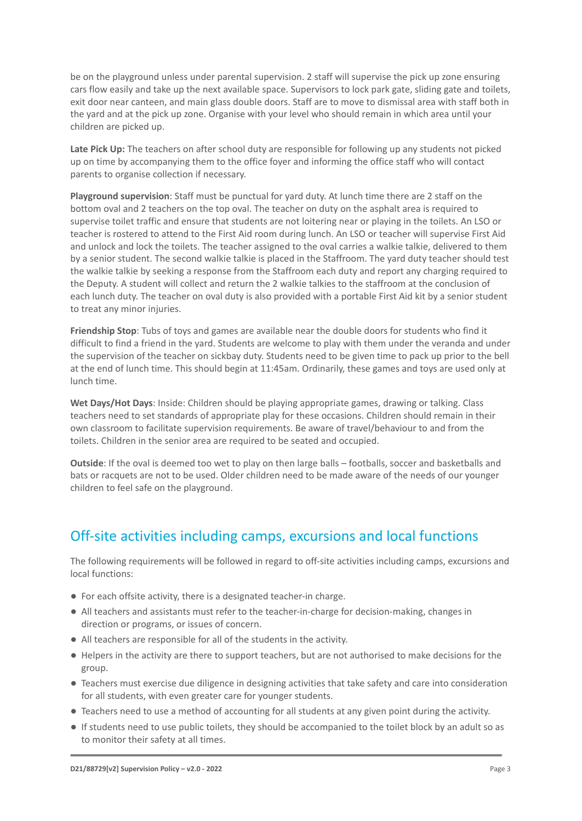be on the playground unless under parental supervision. 2 staff will supervise the pick up zone ensuring cars flow easily and take up the next available space. Supervisors to lock park gate, sliding gate and toilets, exit door near canteen, and main glass double doors. Staff are to move to dismissal area with staff both in the yard and at the pick up zone. Organise with your level who should remain in which area until your children are picked up.

**Late Pick Up:** The teachers on after school duty are responsible for following up any students not picked up on time by accompanying them to the office foyer and informing the office staff who will contact parents to organise collection if necessary.

**Playground supervision**: Staff must be punctual for yard duty. At lunch time there are 2 staff on the bottom oval and 2 teachers on the top oval. The teacher on duty on the asphalt area is required to supervise toilet traffic and ensure that students are not loitering near or playing in the toilets. An LSO or teacher is rostered to attend to the First Aid room during lunch. An LSO or teacher will supervise First Aid and unlock and lock the toilets. The teacher assigned to the oval carries a walkie talkie, delivered to them by a senior student. The second walkie talkie is placed in the Staffroom. The yard duty teacher should test the walkie talkie by seeking a response from the Staffroom each duty and report any charging required to the Deputy. A student will collect and return the 2 walkie talkies to the staffroom at the conclusion of each lunch duty. The teacher on oval duty is also provided with a portable First Aid kit by a senior student to treat any minor injuries.

**Friendship Stop**: Tubs of toys and games are available near the double doors for students who find it difficult to find a friend in the yard. Students are welcome to play with them under the veranda and under the supervision of the teacher on sickbay duty. Students need to be given time to pack up prior to the bell at the end of lunch time. This should begin at 11:45am. Ordinarily, these games and toys are used only at lunch time.

**Wet Days/Hot Days**: Inside: Children should be playing appropriate games, drawing or talking. Class teachers need to set standards of appropriate play for these occasions. Children should remain in their own classroom to facilitate supervision requirements. Be aware of travel/behaviour to and from the toilets. Children in the senior area are required to be seated and occupied.

**Outside**: If the oval is deemed too wet to play on then large balls – footballs, soccer and basketballs and bats or racquets are not to be used. Older children need to be made aware of the needs of our younger children to feel safe on the playground.

### Off-site activities including camps, excursions and local functions

The following requirements will be followed in regard to off-site activities including camps, excursions and local functions:

- For each offsite activity, there is a designated teacher-in charge.
- All teachers and assistants must refer to the teacher-in-charge for decision-making, changes in direction or programs, or issues of concern.
- All teachers are responsible for all of the students in the activity.
- Helpers in the activity are there to support teachers, but are not authorised to make decisions for the group.
- Teachers must exercise due diligence in designing activities that take safety and care into consideration for all students, with even greater care for younger students.
- Teachers need to use a method of accounting for all students at any given point during the activity.
- If students need to use public toilets, they should be accompanied to the toilet block by an adult so as to monitor their safety at all times.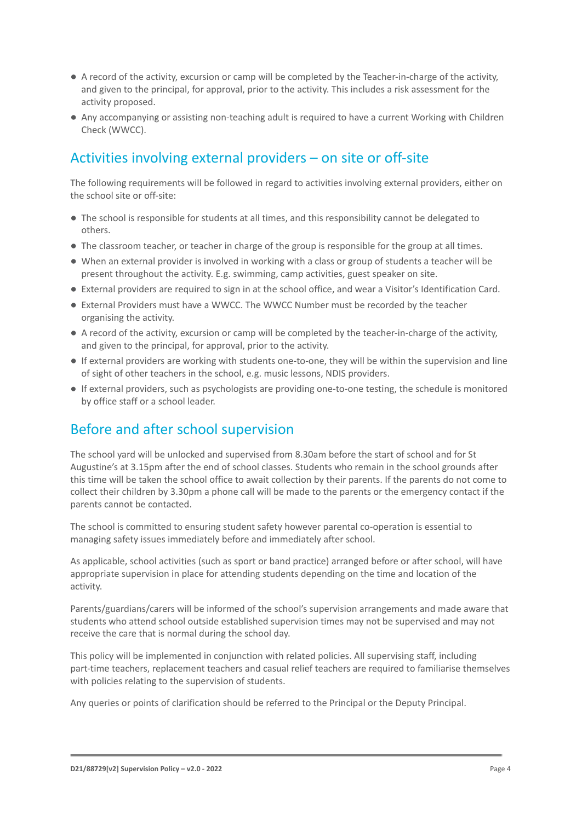- A record of the activity, excursion or camp will be completed by the Teacher-in-charge of the activity, and given to the principal, for approval, prior to the activity. This includes a risk assessment for the activity proposed.
- Any accompanying or assisting non-teaching adult is required to have a current Working with Children Check (WWCC).

# Activities involving external providers – on site or off-site

The following requirements will be followed in regard to activities involving external providers, either on the school site or off-site:

- The school is responsible for students at all times, and this responsibility cannot be delegated to others.
- The classroom teacher, or teacher in charge of the group is responsible for the group at all times.
- When an external provider is involved in working with a class or group of students a teacher will be present throughout the activity. E.g. swimming, camp activities, guest speaker on site.
- External providers are required to sign in at the school office, and wear a Visitor's Identification Card.
- External Providers must have a WWCC. The WWCC Number must be recorded by the teacher organising the activity.
- A record of the activity, excursion or camp will be completed by the teacher-in-charge of the activity, and given to the principal, for approval, prior to the activity.
- If external providers are working with students one-to-one, they will be within the supervision and line of sight of other teachers in the school, e.g. music lessons, NDIS providers.
- If external providers, such as psychologists are providing one-to-one testing, the schedule is monitored by office staff or a school leader.

#### Before and after school supervision

The school yard will be unlocked and supervised from 8.30am before the start of school and for St Augustine's at 3.15pm after the end of school classes. Students who remain in the school grounds after this time will be taken the school office to await collection by their parents. If the parents do not come to collect their children by 3.30pm a phone call will be made to the parents or the emergency contact if the parents cannot be contacted.

The school is committed to ensuring student safety however parental co-operation is essential to managing safety issues immediately before and immediately after school.

As applicable, school activities (such as sport or band practice) arranged before or after school, will have appropriate supervision in place for attending students depending on the time and location of the activity.

Parents/guardians/carers will be informed of the school's supervision arrangements and made aware that students who attend school outside established supervision times may not be supervised and may not receive the care that is normal during the school day.

This policy will be implemented in conjunction with related policies. All supervising staff, including part-time teachers, replacement teachers and casual relief teachers are required to familiarise themselves with policies relating to the supervision of students.

Any queries or points of clarification should be referred to the Principal or the Deputy Principal.